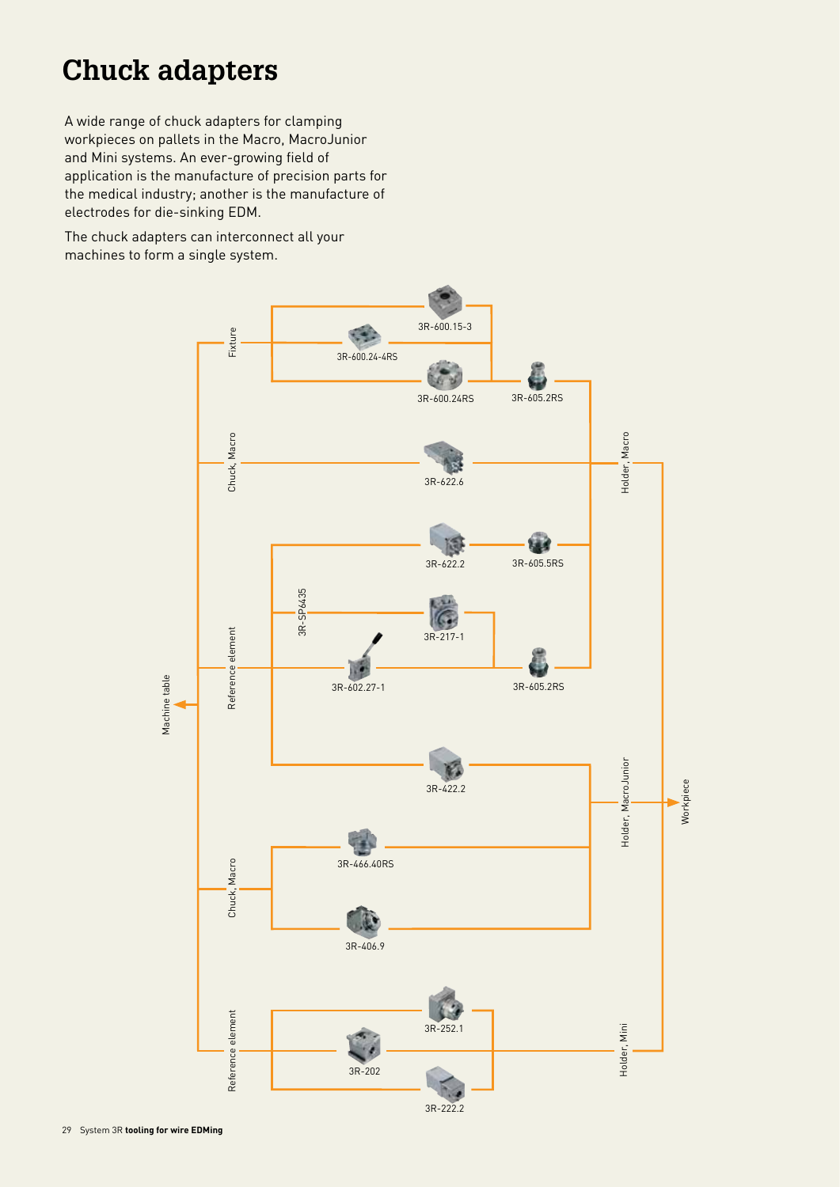A wide range of chuck adapters for clamping workpieces on pallets in the Macro, MacroJunior and Mini systems. An ever-growing field of application is the manufacture of precision parts for the medical industry; another is the manufacture of electrodes for die-sinking EDM.

The chuck adapters can interconnect all your machines to form a single system.

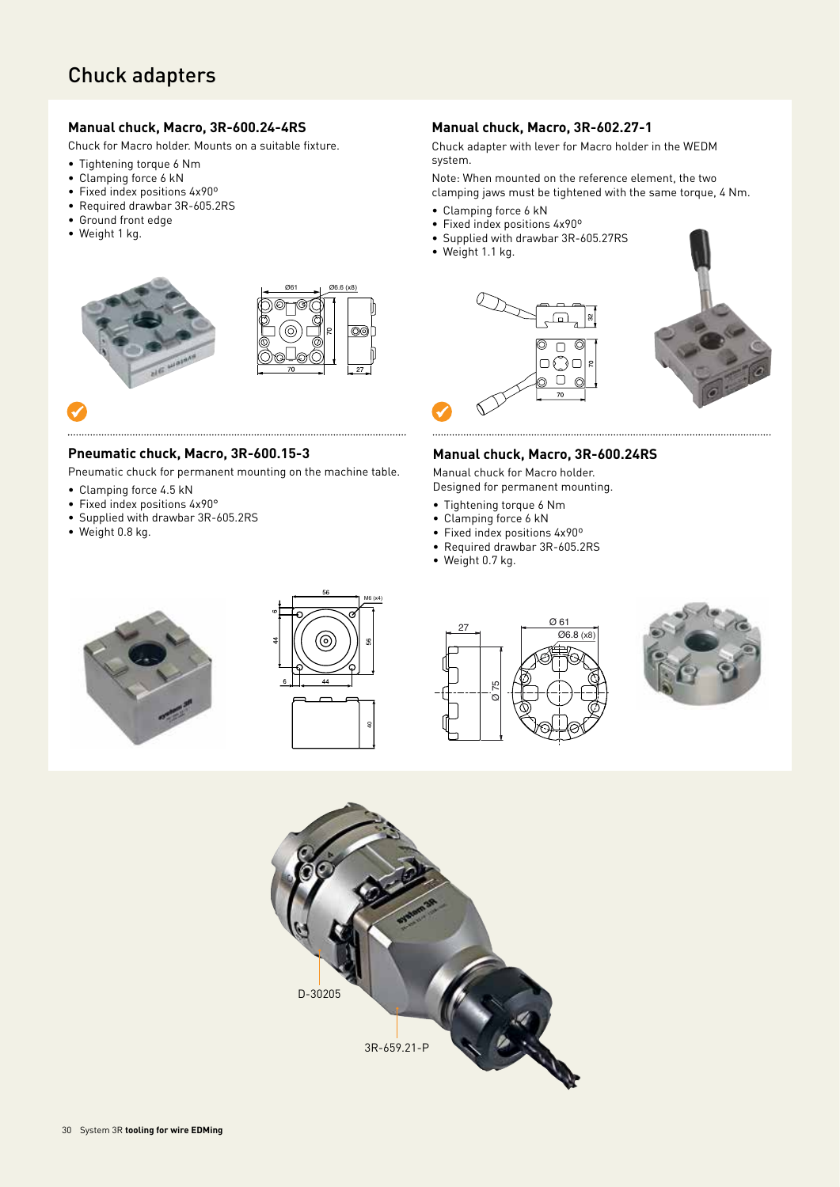#### **Manual chuck, Macro, 3R-600.24-4RS**

Chuck for Macro holder. Mounts on a suitable fixture.

- Tightening torque 6 Nm
- Clamping force 6 kN
- Fixed index positions 4x90º
- Required drawbar 3R-605.2RS • Ground front edge
- Weight 1 kg.



### $\checkmark$

#### **Pneumatic chuck, Macro, 3R-600.15-3**

Pneumatic chuck for permanent mounting on the machine table.

- Clamping force 4.5 kN
- Fixed index positions 4x90°
- Supplied with drawbar 3R-605.2RS
- Weight 0.8 kg.

#### **Manual chuck, Macro, 3R-602.27-1**

Chuck adapter with lever for Macro holder in the WEDM system.

Note: When mounted on the reference element, the two clamping jaws must be tightened with the same torque, 4 Nm.

- Clamping force 6 kN
- Fixed index positions 4x90º
- Supplied with drawbar 3R-605.27RS
- Weight 1.1 kg.



#### **Manual chuck, Macro, 3R-600.24RS**

Manual chuck for Macro holder. Designed for permanent mounting.

- Tightening torque 6 Nm
- Clamping force 6 kN
- Fixed index positions 4x90º
- Required drawbar 3R-605.2RS
- Weight 0.7 kg.









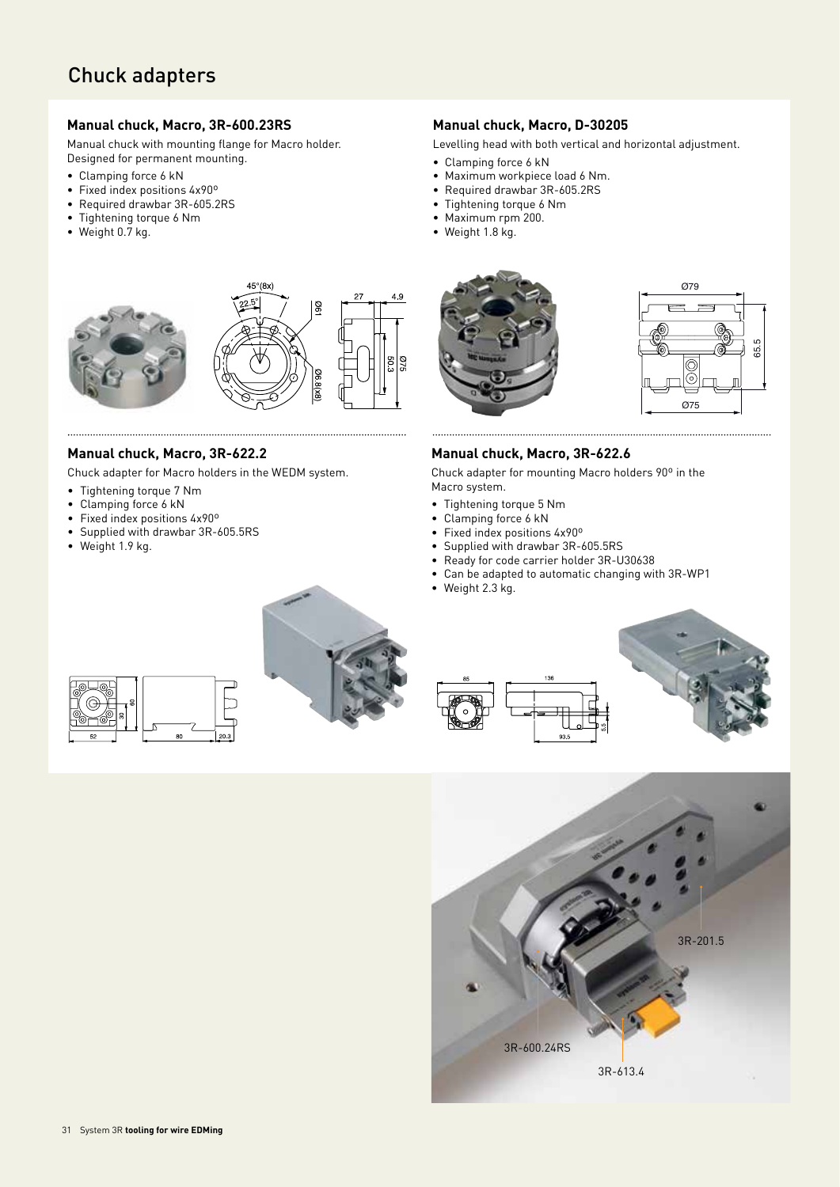#### **Manual chuck, Macro, 3R-600.23RS**

Manual chuck with mounting flange for Macro holder. Designed for permanent mounting.

- Clamping force 6 kN
- Fixed index positions 4x90º
- Required drawbar 3R-605.2RS
- Tightening torque 6 Nm
- Weight 0.7 kg.



#### **Manual chuck, Macro, 3R-622.2**

Chuck adapter for Macro holders in the WEDM system.

- Tightening torque 7 Nm
- Clamping force 6 kN
- Fixed index positions 4x90º
- Supplied with drawbar 3R-605.5RS
- Weight 1.9 kg.

#### **Manual chuck, Macro, D-30205**

Levelling head with both vertical and horizontal adjustment.

- Clamping force 6 kN
- Maximum workpiece load 6 Nm.
- Required drawbar 3R-605.2RS
- Tightening torque 6 Nm
- Maximum rpm 200.
- Weight 1.8 kg.



#### **Manual chuck, Macro, 3R-622.6**

Chuck adapter for mounting Macro holders 90º in the Macro system.

- Tightening torque 5 Nm
- Clamping force 6 kN
- Fixed index positions 4x90º
- Supplied with drawbar 3R-605.5RS
- Ready for code carrier holder 3R-U30638
- Can be adapted to automatic changing with 3R-WP1
- Weight 2.3 kg.







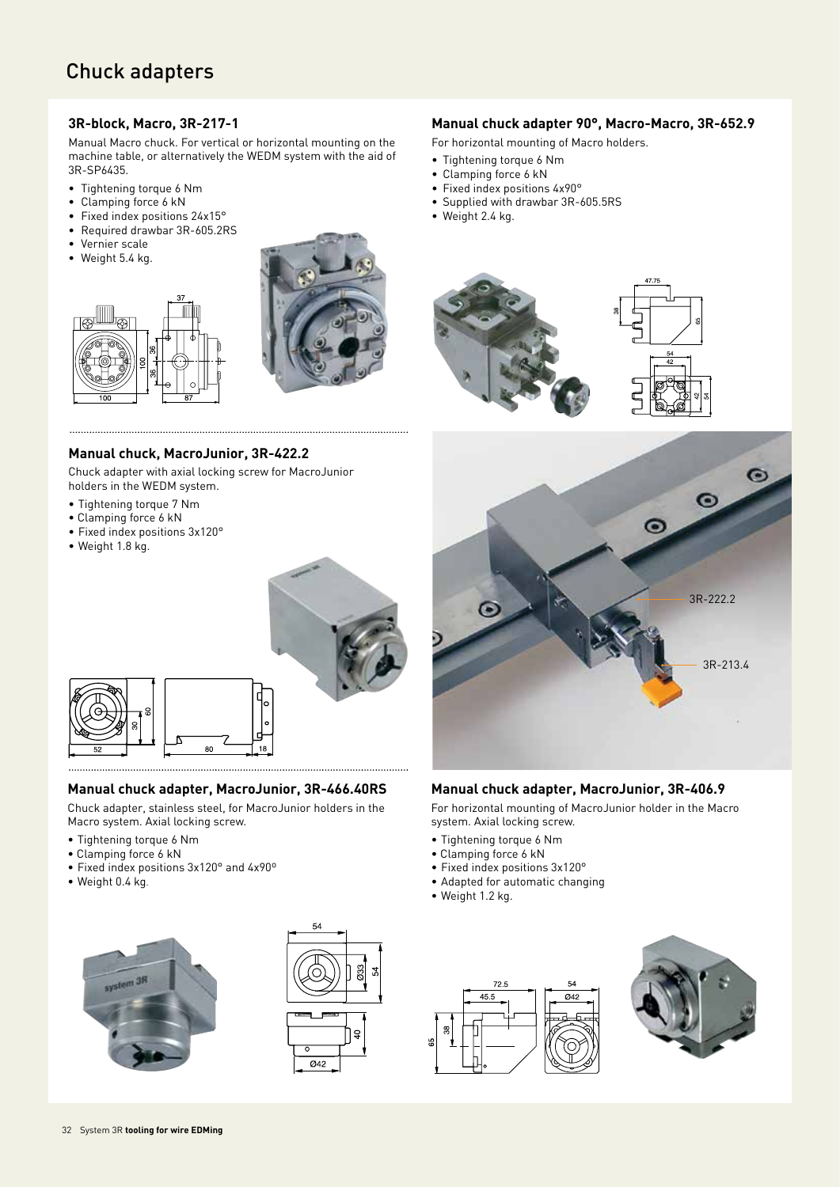#### **3R-block, Macro, 3R-217-1**

Manual Macro chuck. For vertical or horizontal mounting on the machine table, or alternatively the WEDM system with the aid of 3R-SP6435.

- Tightening torque 6 Nm
- Clamping force 6 kN
- Fixed index positions 24x15°
- Required drawbar 3R-605.2RS
- Vernier scale
- Weight 5.4 kg.





#### **Manual chuck, MacroJunior, 3R-422.2**

Chuck adapter with axial locking screw for MacroJunior holders in the WEDM system.

- Tightening torque 7 Nm
- Clamping force 6 kN
- Fixed index positions 3x120°
- Weight 1.8 kg.



#### **Manual chuck adapter, MacroJunior, 3R-466.40RS**

Chuck adapter, stainless steel, for MacroJunior holders in the Macro system. Axial locking screw.

- Tightening torque 6 Nm
- Clamping force 6 kN
- Fixed index positions 3x120° and 4x90º
- Weight 0.4 kg.





#### **Manual chuck adapter 90°, Macro-Macro, 3R-652.9**

- For horizontal mounting of Macro holders.
- Tightening torque 6 Nm
- Clamping force 6 kN
- Fixed index positions 4x90°
- Supplied with drawbar 3R-605.5RS
- Weight 2.4 kg.





#### **Manual chuck adapter, MacroJunior, 3R-406.9**

For horizontal mounting of MacroJunior holder in the Macro system. Axial locking screw.

- Tightening torque 6 Nm
- Clamping force 6 kN
- Fixed index positions 3x120°
- Adapted for automatic changing
- Weight 1.2 kg.